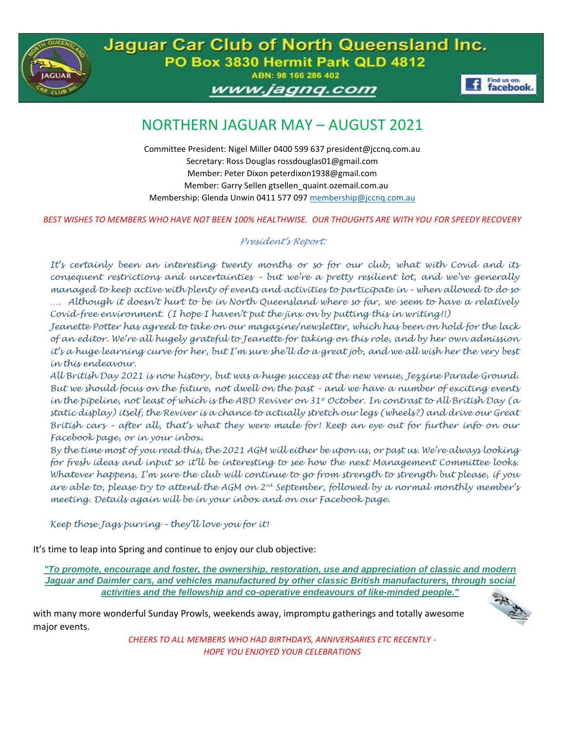

Jaguar Car Club of North Queensland Inc. PO Box 3830 Hermit Park QLD 4812 ABN: 98 166 286 402

www.jagnq.com



# NORTHERN JAGUAR MAY – AUGUST 2021

Committee President: Nigel Miller 0400 599 637 president@jccnq.com.au Secretary: Ross Douglas rossdouglas01@gmail.com Member: Peter Dixon peterdixon1938@gmail.com Member: Garry Sellen gtsellen\_quaint.ozemail.com.au Membership: Glenda Unwin 0411 577 097 [membership@jccnq.com.au](mailto:membership@jccnq.com.au)

*BEST WISHES TO MEMBERS WHO HAVE NOT BEEN 100% HEALTHWISE. OUR THOUGHTS ARE WITH YOU FOR SPEEDY RECOVERY* 

#### *President's Report:*

*It's certainly been an interesting twenty months or so for our club, what with Covid and its consequent restrictions and uncertainties – but we're a pretty resilient lot, and we've generally managed to keep active with plenty of events and activities to participate in – when allowed to do so …. Although it doesn't hurt to be in North Queensland where so far, we seem to have a relatively Covid-free environment. (I hope I haven't put the jinx on by putting this in writing!!)*

*Jeanette Potter has agreed to take on our magazine/newsletter, which has been on hold for the lack of an editor. We're all hugely grateful to Jeanette for taking on this role, and by her own admission it's a huge learning curve for her, but I'm sure she'll do a great job, and we all wish her the very best in this endeavour.*

*All British Day 2021 is now history, but was a huge success at the new venue, Jezzine Parade Ground. But we should focus on the future, not dwell on the past – and we have a number of exciting events in the pipeline, not least of which is the ABD Reviver on 31st October. In contrast to All British Day (a static display) itself, the Reviver is a chance to actually stretch our legs (wheels?) and drive our Great British cars – after all, that's what they were made for! Keep an eye out for further info on our Facebook page, or in your inbox.*

*By the time most of you read this, the 2021 AGM will either be upon us, or past us. We're always looking for fresh ideas and input so it'll be interesting to see how the next Management Committee looks. Whatever happens, I'm sure the club will continue to go from strength to strength but please, if you are able to, please try to attend the AGM on 2nd September, followed by a normal monthly member's meeting. Details again will be in your inbox and on our Facebook page.*

*Keep those Jags purring – they'll love you for it!*

It's time to leap into Spring and continue to enjoy our club objective:

*"To promote, encourage and foster, the ownership, restoration, use and appreciation of classic and modern Jaguar and Daimler cars, and vehicles manufactured by other classic British manufacturers, through social activities and the fellowship and co-operative endeavours of like-minded people."*

with many more wonderful Sunday Prowls, weekends away, impromptu gatherings and totally awesome major events.

> *CHEERS TO ALL MEMBERS WHO HAD BIRTHDAYS, ANNIVERSARIES ETC RECENTLY - HOPE YOU ENJOYED YOUR CELEBRATIONS*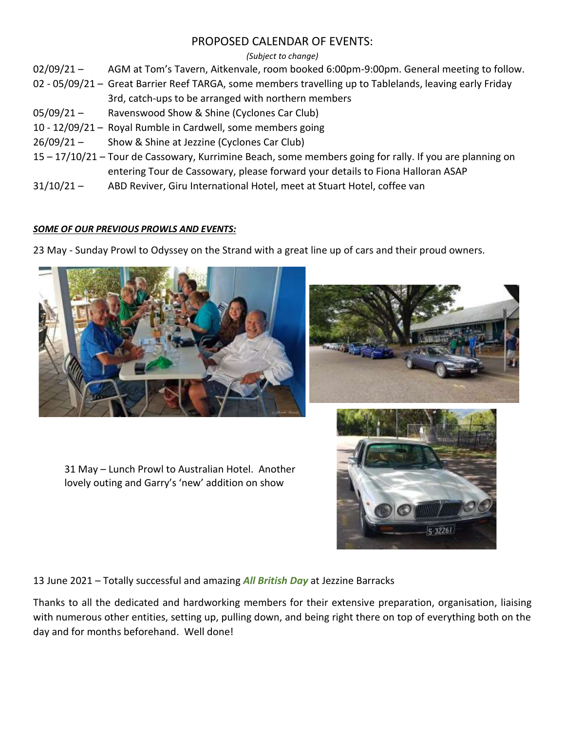### PROPOSED CALENDAR OF EVENTS:

#### *(Subject to change)*

02/09/21 – AGM at Tom's Tavern, Aitkenvale, room booked 6:00pm-9:00pm. General meeting to follow.

- 02 05/09/21 Great Barrier Reef TARGA, some members travelling up to Tablelands, leaving early Friday 3rd, catch-ups to be arranged with northern members
- 05/09/21 Ravenswood Show & Shine (Cyclones Car Club)
- 10 12/09/21 Royal Rumble in Cardwell, some members going
- 26/09/21 Show & Shine at Jezzine (Cyclones Car Club)
- 15 17/10/21 Tour de Cassowary, Kurrimine Beach, some members going for rally. If you are planning on entering Tour de Cassowary, please forward your details to Fiona Halloran ASAP
- 31/10/21 ABD Reviver, Giru International Hotel, meet at Stuart Hotel, coffee van

#### *SOME OF OUR PREVIOUS PROWLS AND EVENTS:*

23 May - Sunday Prowl to Odyssey on the Strand with a great line up of cars and their proud owners.



31 May – Lunch Prowl to Australian Hotel. Another lovely outing and Garry's 'new' addition on show





13 June 2021 – Totally successful and amazing *All British Day* at Jezzine Barracks

Thanks to all the dedicated and hardworking members for their extensive preparation, organisation, liaising with numerous other entities, setting up, pulling down, and being right there on top of everything both on the day and for months beforehand. Well done!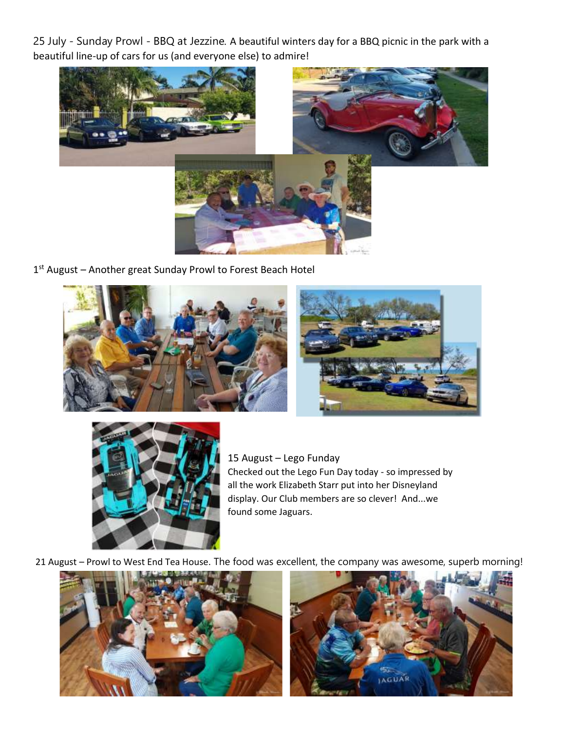25 July - Sunday Prowl - BBQ at Jezzine. A beautiful winters day for a BBQ picnic in the park with a beautiful line-up of cars for us (and everyone else) to admire!



1<sup>st</sup> August – Another great Sunday Prowl to Forest Beach Hotel





15 August – Lego Funday Checked out the Lego Fun Day today - so impressed by all the work Elizabeth Starr put into her Disneyland display. Our Club members are so clever! And...we found some Jaguars.

21 August – Prowl to West End Tea House. The food was excellent, the company was awesome, superb morning!



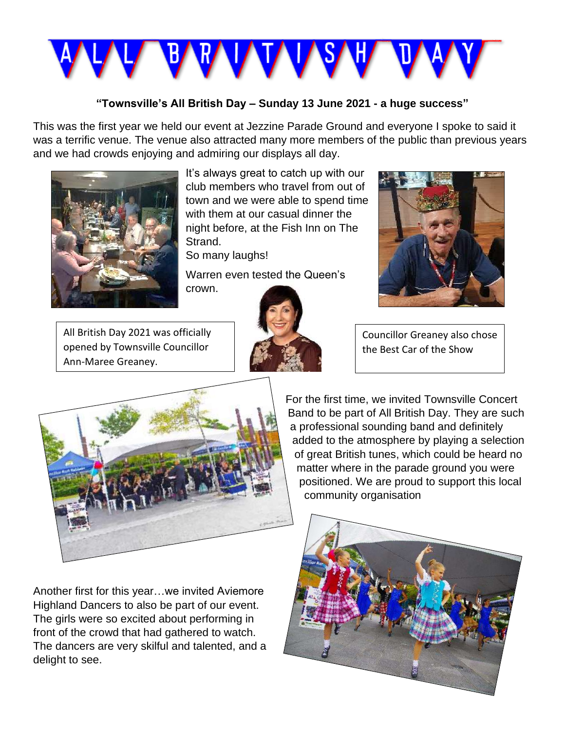

### **"Townsville's All British Day – Sunday 13 June 2021 - a huge success"**

This was the first year we held our event at Jezzine Parade Ground and everyone I spoke to said it was a terrific venue. The venue also attracted many more members of the public than previous years and we had crowds enjoying and admiring our displays all day.



It's always great to catch up with our club members who travel from out of town and we were able to spend time with them at our casual dinner the night before, at the Fish Inn on The Strand.

So many laughs!

Warren even tested the Queen's crown.





All British Day 2021 was officially opened by Townsville Councillor Ann-Maree Greaney.

Councillor Greaney also chose the Best Car of the Show



Another first for this year…we invited Aviemore Highland Dancers to also be part of our event. The girls were so excited about performing in front of the crowd that had gathered to watch. The dancers are very skilful and talented, and a delight to see.

For the first time, we invited Townsville Concert Band to be part of All British Day. They are such a professional sounding band and definitely added to the atmosphere by playing a selection of great British tunes, which could be heard no matter where in the parade ground you were positioned. We are proud to support this local community organisation

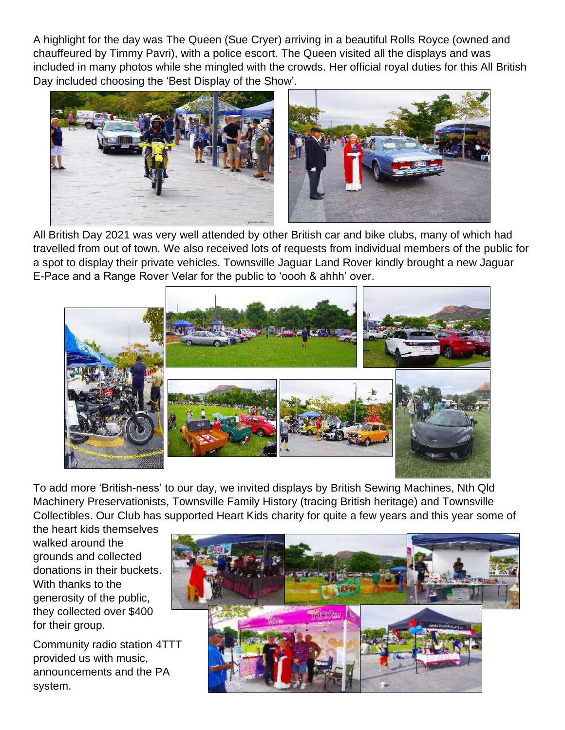A highlight for the day was The Queen (Sue Cryer) arriving in a beautiful Rolls Royce (owned and chauffeured by Timmy Pavri), with a police escort. The Queen visited all the displays and was included in many photos while she mingled with the crowds. Her official royal duties for this All British Day included choosing the 'Best Display of the Show'.



All British Day 2021 was very well attended by other British car and bike clubs, many of which had travelled from out of town. We also received lots of requests from individual members of the public for a spot to display their private vehicles. Townsville Jaguar Land Rover kindly brought a new Jaguar E-Pace and a Range Rover Velar for the public to 'oooh & ahhh' over.



To add more 'British-ness' to our day, we invited displays by British Sewing Machines, Nth Qld Machinery Preservationists, Townsville Family History (tracing British heritage) and Townsville Collectibles. Our Club has supported Heart Kids charity for quite a few years and this year some of

the heart kids themselves walked around the grounds and collected donations in their buckets. With thanks to the generosity of the public, they collected over \$400 for their group.

Community radio station 4TTT provided us with music, announcements and the PA system.

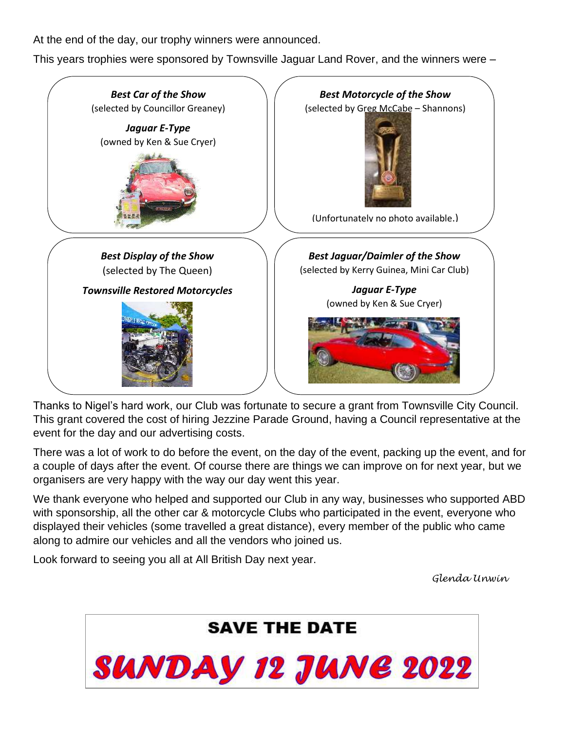At the end of the day, our trophy winners were announced.

This years trophies were sponsored by Townsville Jaguar Land Rover, and the winners were –



Thanks to Nigel's hard work, our Club was fortunate to secure a grant from Townsville City Council. This grant covered the cost of hiring Jezzine Parade Ground, having a Council representative at the event for the day and our advertising costs.

There was a lot of work to do before the event, on the day of the event, packing up the event, and for a couple of days after the event. Of course there are things we can improve on for next year, but we organisers are very happy with the way our day went this year.

We thank everyone who helped and supported our Club in any way, businesses who supported ABD with sponsorship, all the other car & motorcycle Clubs who participated in the event, everyone who displayed their vehicles (some travelled a great distance), every member of the public who came along to admire our vehicles and all the vendors who joined us.

Look forward to seeing you all at All British Day next year.

*Glenda Unwin*